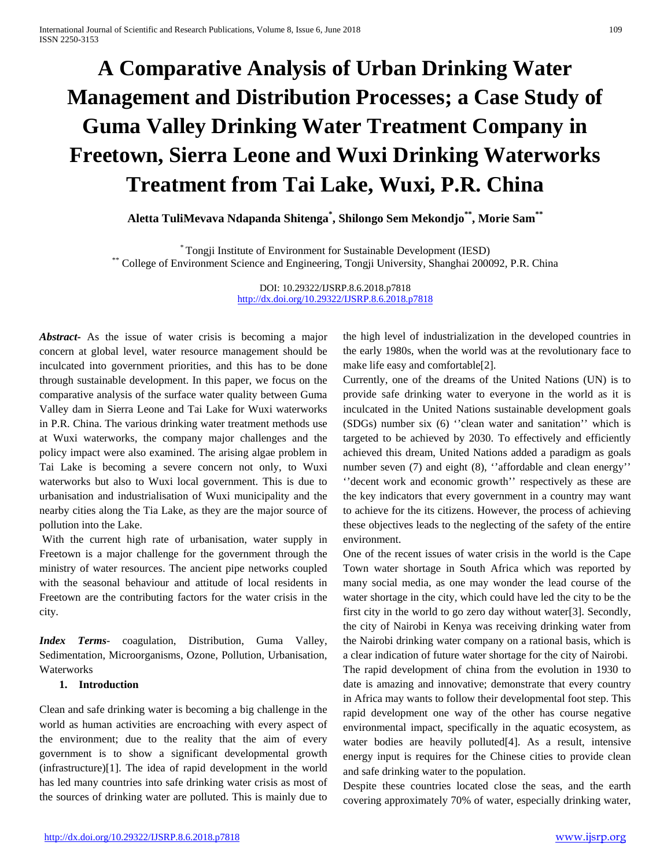# **A Comparative Analysis of Urban Drinking Water Management and Distribution Processes; a Case Study of Guma Valley Drinking Water Treatment Company in Freetown, Sierra Leone and Wuxi Drinking Waterworks Treatment from Tai Lake, Wuxi, P.R. China**

**Aletta TuliMevava Ndapanda Shitenga\* , Shilongo Sem Mekondjo\*\*, Morie Sam\*\***

\* Tongji Institute of Environment for Sustainable Development (IESD) \*\* College of Environment Science and Engineering, Tongji University, Shanghai 200092, P.R. China

DOI: 10.29322/IJSRP.8.6.2018.p7818 <http://dx.doi.org/10.29322/IJSRP.8.6.2018.p7818>

*Abstract***-** As the issue of water crisis is becoming a major concern at global level, water resource management should be inculcated into government priorities, and this has to be done through sustainable development. In this paper, we focus on the comparative analysis of the surface water quality between Guma Valley dam in Sierra Leone and Tai Lake for Wuxi waterworks in P.R. China. The various drinking water treatment methods use at Wuxi waterworks, the company major challenges and the policy impact were also examined. The arising algae problem in Tai Lake is becoming a severe concern not only, to Wuxi waterworks but also to Wuxi local government. This is due to urbanisation and industrialisation of Wuxi municipality and the nearby cities along the Tia Lake, as they are the major source of pollution into the Lake.

With the current high rate of urbanisation, water supply in Freetown is a major challenge for the government through the ministry of water resources. The ancient pipe networks coupled with the seasonal behaviour and attitude of local residents in Freetown are the contributing factors for the water crisis in the city.

*Index Terms*- coagulation, Distribution, Guma Valley, Sedimentation, Microorganisms, Ozone, Pollution, Urbanisation, Waterworks

#### **1. Introduction**

Clean and safe drinking water is becoming a big challenge in the world as human activities are encroaching with every aspect of the environment; due to the reality that the aim of every government is to show a significant developmental growth (infrastructure)[\[1\]](#page-6-0). The idea of rapid development in the world has led many countries into safe drinking water crisis as most of the sources of drinking water are polluted. This is mainly due to the high level of industrialization in the developed countries in the early 1980s, when the world was at the revolutionary face to make life easy and comfortable[\[2\]](#page-6-1).

Currently, one of the dreams of the United Nations (UN) is to provide safe drinking water to everyone in the world as it is inculcated in the United Nations sustainable development goals (SDGs) number six (6) ''clean water and sanitation'' which is targeted to be achieved by 2030. To effectively and efficiently achieved this dream, United Nations added a paradigm as goals number seven (7) and eight (8), "affordable and clean energy" ''decent work and economic growth'' respectively as these are the key indicators that every government in a country may want to achieve for the its citizens. However, the process of achieving these objectives leads to the neglecting of the safety of the entire environment.

One of the recent issues of water crisis in the world is the Cape Town water shortage in South Africa which was reported by many social media, as one may wonder the lead course of the water shortage in the city, which could have led the city to be the first city in the world to go zero day without water[\[3\]](#page-6-2). Secondly, the city of Nairobi in Kenya was receiving drinking water from the Nairobi drinking water company on a rational basis, which is a clear indication of future water shortage for the city of Nairobi. The rapid development of china from the evolution in 1930 to date is amazing and innovative; demonstrate that every country in Africa may wants to follow their developmental foot step. This rapid development one way of the other has course negative environmental impact, specifically in the aquatic ecosystem, as water bodies are heavily polluted[\[4\]](#page-6-3). As a result, intensive energy input is requires for the Chinese cities to provide clean and safe drinking water to the population.

Despite these countries located close the seas, and the earth covering approximately 70% of water, especially drinking water,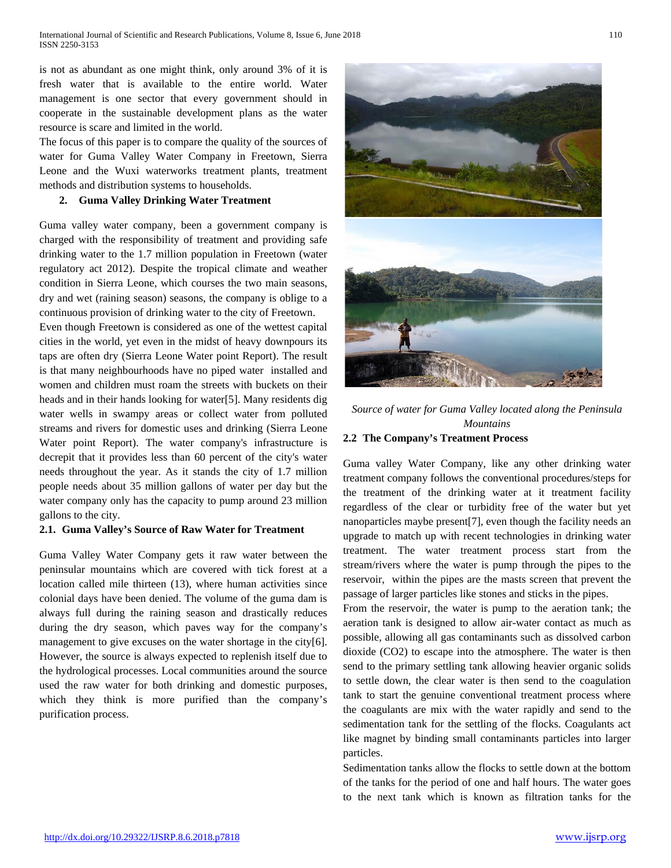is not as abundant as one might think, only around 3% of it is fresh water that is available to the entire world. Water management is one sector that every government should in cooperate in the sustainable development plans as the water resource is scare and limited in the world.

The focus of this paper is to compare the quality of the sources of water for Guma Valley Water Company in Freetown, Sierra Leone and the Wuxi waterworks treatment plants, treatment methods and distribution systems to households.

## **2. Guma Valley Drinking Water Treatment**

Guma valley water company, been a government company is charged with the responsibility of treatment and providing safe drinking water to the 1.7 million population in Freetown (water regulatory act 2012). Despite the tropical climate and weather condition in Sierra Leone, which courses the two main seasons, dry and wet (raining season) seasons, the company is oblige to a continuous provision of drinking water to the city of Freetown.

Even though Freetown is considered as one of the wettest capital cities in the world, yet even in the midst of heavy downpours its taps are often dry (Sierra Leone Water point Report). The result is that many neighbourhoods have no piped water installed and women and children must roam the streets with buckets on their heads and in their hands looking for water[\[5\]](#page-6-4). Many residents dig water wells in swampy areas or collect water from polluted streams and rivers for domestic uses and drinking (Sierra Leone Water point Report). The water company's infrastructure is decrepit that it provides less than 60 percent of the city's water needs throughout the year. As it stands the city of 1.7 million people needs about 35 million gallons of water per day but the water company only has the capacity to pump around 23 million gallons to the city.

#### **2.1. Guma Valley's Source of Raw Water for Treatment**

Guma Valley Water Company gets it raw water between the peninsular mountains which are covered with tick forest at a location called mile thirteen (13), where human activities since colonial days have been denied. The volume of the guma dam is always full during the raining season and drastically reduces during the dry season, which paves way for the company's management to give excuses on the water shortage in the city[\[6\]](#page-7-0). However, the source is always expected to replenish itself due to the hydrological processes. Local communities around the source used the raw water for both drinking and domestic purposes, which they think is more purified than the company's purification process.



*Source of water for Guma Valley located along the Peninsula Mountains* **2.2 The Company's Treatment Process**

Guma valley Water Company, like any other drinking water treatment company follows the conventional procedures/steps for the treatment of the drinking water at it treatment facility regardless of the clear or turbidity free of the water but yet nanoparticles maybe present[\[7\]](#page-7-1), even though the facility needs an upgrade to match up with recent technologies in drinking water treatment. The water treatment process start from the stream/rivers where the water is pump through the pipes to the reservoir, within the pipes are the masts screen that prevent the passage of larger particles like stones and sticks in the pipes.

From the reservoir, the water is pump to the aeration tank; the aeration tank is designed to allow air-water contact as much as possible, allowing all gas contaminants such as dissolved carbon dioxide (CO2) to escape into the atmosphere. The water is then send to the primary settling tank allowing heavier organic solids to settle down, the clear water is then send to the coagulation tank to start the genuine conventional treatment process where the coagulants are mix with the water rapidly and send to the sedimentation tank for the settling of the flocks. Coagulants act like magnet by binding small contaminants particles into larger particles.

Sedimentation tanks allow the flocks to settle down at the bottom of the tanks for the period of one and half hours. The water goes to the next tank which is known as filtration tanks for the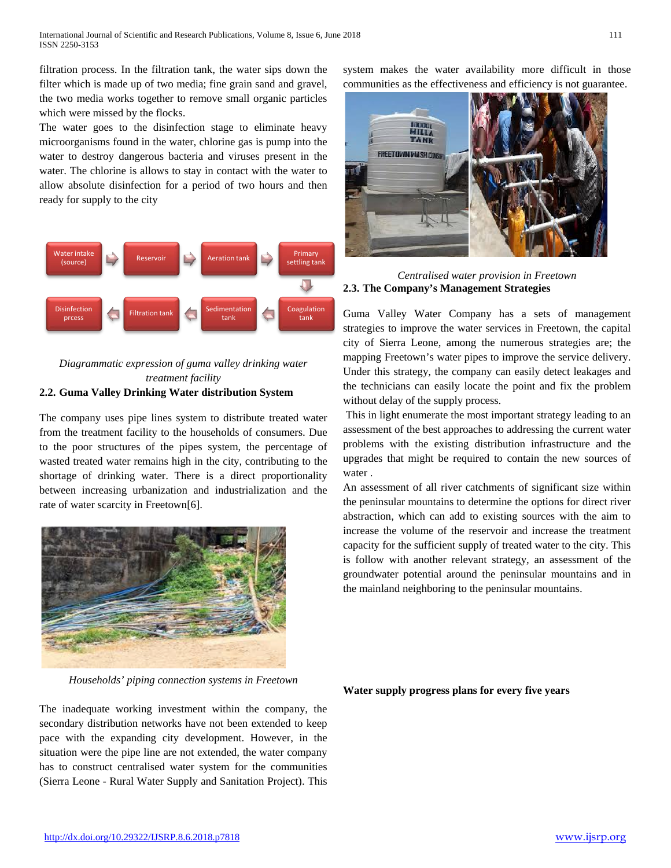filtration process. In the filtration tank, the water sips down the filter which is made up of two media; fine grain sand and gravel, the two media works together to remove small organic particles which were missed by the flocks.

The water goes to the disinfection stage to eliminate heavy microorganisms found in the water, chlorine gas is pump into the water to destroy dangerous bacteria and viruses present in the water. The chlorine is allows to stay in contact with the water to allow absolute disinfection for a period of two hours and then ready for supply to the city



*Diagrammatic expression of guma valley drinking water treatment facility*

## **2.2. Guma Valley Drinking Water distribution System**

The company uses pipe lines system to distribute treated water from the treatment facility to the households of consumers. Due to the poor structures of the pipes system, the percentage of wasted treated water remains high in the city, contributing to the shortage of drinking water. There is a direct proportionality between increasing urbanization and industrialization and the rate of water scarcity in Freetown[\[6\]](#page-7-0).



*Households' piping connection systems in Freetown*

The inadequate working investment within the company, the secondary distribution networks have not been extended to keep pace with the expanding city development. However, in the situation were the pipe line are not extended, the water company has to construct centralised water system for the communities (Sierra Leone - Rural Water Supply and Sanitation Project). This

system makes the water availability more difficult in those communities as the effectiveness and efficiency is not guarantee.



*Centralised water provision in Freetown* **2.3. The Company's Management Strategies** 

Guma Valley Water Company has a sets of management strategies to improve the water services in Freetown, the capital city of Sierra Leone, among the numerous strategies are; the mapping Freetown's water pipes to improve the service delivery. Under this strategy, the company can easily detect leakages and the technicians can easily locate the point and fix the problem without delay of the supply process.

This in light enumerate the most important strategy leading to an assessment of the best approaches to addressing the current water problems with the existing distribution infrastructure and the upgrades that might be required to contain the new sources of water .

An assessment of all river catchments of significant size within the peninsular mountains to determine the options for direct river abstraction, which can add to existing sources with the aim to increase the volume of the reservoir and increase the treatment capacity for the sufficient supply of treated water to the city. This is follow with another relevant strategy, an assessment of the groundwater potential around the peninsular mountains and in the mainland neighboring to the peninsular mountains.

**Water supply progress plans for every five years**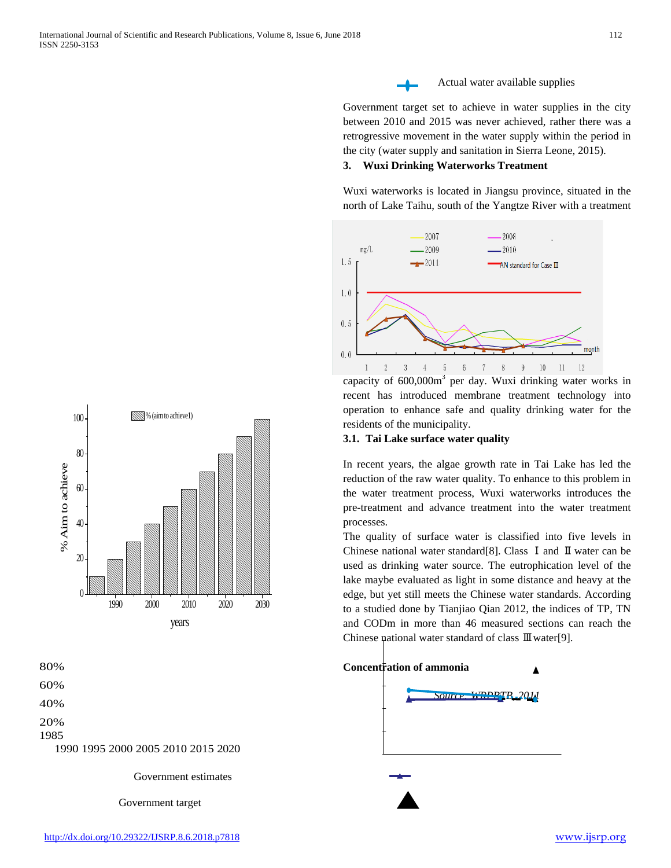



Government estimates

Government target



Government target set to achieve in water supplies in the city between 2010 and 2015 was never achieved, rather there was a retrogressive movement in the water supply within the period in the city (water supply and sanitation in Sierra Leone, 2015).

## **3. Wuxi Drinking Waterworks Treatment**

Wuxi waterworks is located in Jiangsu province, situated in the north of Lake Taihu, south of the Yangtze River with a treatment



capacity of  $600,000m<sup>3</sup>$  per day. Wuxi drinking water works in recent has introduced membrane treatment technology into operation to enhance safe and quality drinking water for the residents of the municipality.

## **3.1. Tai Lake surface water quality**

In recent years, the algae growth rate in Tai Lake has led the reduction of the raw water quality. To enhance to this problem in the water treatment process, Wuxi waterworks introduces the pre-treatment and advance treatment into the water treatment processes.

The quality of surface water is classified into five levels in Chinese national water standard[\[8\]](#page-7-2). Class Ⅰand Ⅱwater can be used as drinking water source. The eutrophication level of the lake maybe evaluated as light in some distance and heavy at the edge, but yet still meets the Chinese water standards. According to a studied done by Tianjiao Qian 2012, the indices of TP, TN and CODm in more than 46 measured sections can reach the Chinese national water standard of class Ⅲwater[\[9\]](#page-7-3).



#### <http://dx.doi.org/10.29322/IJSRP.8.6.2018.p7818> [www.ijsrp.org](http://ijsrp.org/)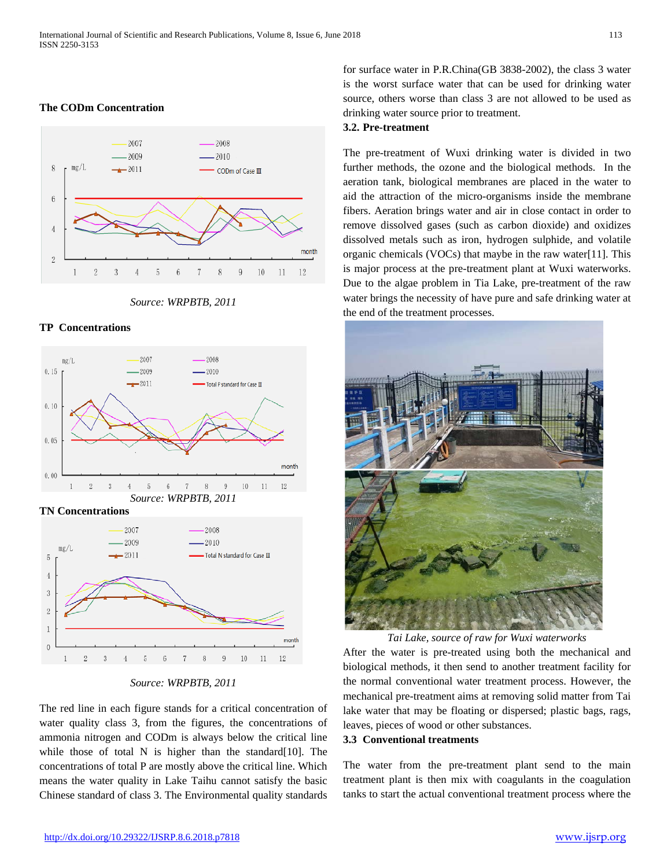#### **The CODm Concentration**



*Source: WRPBTB, 2011*

#### **TP Concentrations**



**TN Concentrations**



*Source: WRPBTB, 2011*

The red line in each figure stands for a critical concentration of water quality class 3, from the figures, the concentrations of ammonia nitrogen and CODm is always below the critical line while those of total  $N$  is higher than the standard [\[10\]](#page-7-4). The concentrations of total P are mostly above the critical line. Which means the water quality in Lake Taihu cannot satisfy the basic Chinese standard of class 3. The Environmental quality standards for surface water in P.R.China(GB 3838-2002), the class 3 water is the worst surface water that can be used for drinking water source, others worse than class 3 are not allowed to be used as drinking water source prior to treatment.

#### **3.2. Pre-treatment**

The pre-treatment of Wuxi drinking water is divided in two further methods, the ozone and the biological methods. In the aeration tank, biological membranes are placed in the water to aid the attraction of the micro-organisms inside the membrane fibers. Aeration brings water and air in close contact in order to remove dissolved gases (such as carbon dioxide) and oxidizes dissolved metals such as iron, hydrogen sulphide, and volatile organic chemicals (VOCs) that maybe in the raw water[\[11\]](#page-7-5). This is major process at the pre-treatment plant at Wuxi waterworks. Due to the algae problem in Tia Lake, pre-treatment of the raw water brings the necessity of have pure and safe drinking water at the end of the treatment processes.



*Tai Lake, source of raw for Wuxi waterworks* After the water is pre-treated using both the mechanical and biological methods, it then send to another treatment facility for the normal conventional water treatment process. However, the mechanical pre-treatment aims at removing solid matter from Tai lake water that may be floating or dispersed; plastic bags, rags, leaves, pieces of wood or other substances.

#### **3.3 Conventional treatments**

The water from the pre-treatment plant send to the main treatment plant is then mix with coagulants in the coagulation tanks to start the actual conventional treatment process where the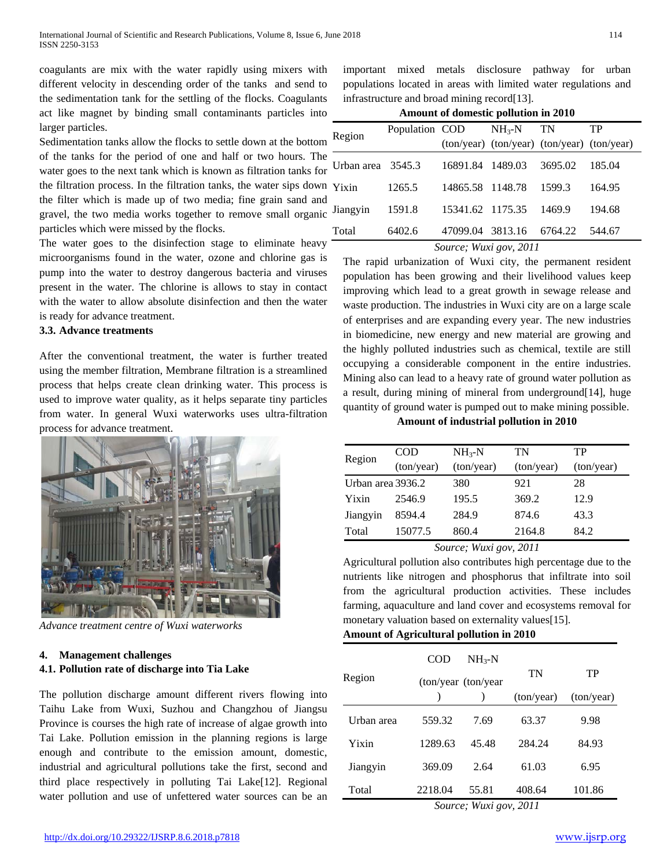coagulants are mix with the water rapidly using mixers with different velocity in descending order of the tanks and send to the sedimentation tank for the settling of the flocks. Coagulants act like magnet by binding small contaminants particles into larger particles.

Sedimentation tanks allow the flocks to settle down at the bottom of the tanks for the period of one and half or two hours. The water goes to the next tank which is known as filtration tanks for the filtration process. In the filtration tanks, the water sips down the filter which is made up of two media; fine grain sand and gravel, the two media works together to remove small organic particles which were missed by the flocks.

The water goes to the disinfection stage to eliminate heavy microorganisms found in the water, ozone and chlorine gas is pump into the water to destroy dangerous bacteria and viruses present in the water. The chlorine is allows to stay in contact with the water to allow absolute disinfection and then the water is ready for advance treatment.

#### **3.3. Advance treatments**

After the conventional treatment, the water is further treated using the member filtration, Membrane filtration is a streamlined process that helps create clean drinking water. This process is used to improve water quality, as it helps separate tiny particles from water. In general Wuxi waterworks uses ultra-filtration process for advance treatment.



*Advance treatment centre of Wuxi waterworks*

#### **4. Management challenges**

#### **4.1. Pollution rate of discharge into Tia Lake**

The pollution discharge amount different rivers flowing into Taihu Lake from Wuxi, Suzhou and Changzhou of Jiangsu Province is courses the high rate of increase of algae growth into Tai Lake. Pollution emission in the planning regions is large enough and contribute to the emission amount, domestic, industrial and agricultural pollutions take the first, second and third place respectively in polluting Tai Lake[\[12\]](#page-7-6). Regional water pollution and use of unfettered water sources can be an

important mixed metals disclosure pathway for urban populations located in areas with limited water regulations and infrastructure and broad mining record[\[13\]](#page-7-7).

| Amount of domestic pollution in 2010 |  |
|--------------------------------------|--|
|--------------------------------------|--|

| Region            | Population COD $NH_3-N$ |                  |                                             | <b>TN</b> | TP     |
|-------------------|-------------------------|------------------|---------------------------------------------|-----------|--------|
|                   |                         |                  | (ton/year) (ton/year) (ton/year) (ton/year) |           |        |
| Urban area 3545.3 |                         | 16891.84 1489.03 |                                             | 3695.02   | 185.04 |
| Yixin             | 1265.5                  | 14865.58 1148.78 |                                             | 1599.3    | 164.95 |
| Jiangyin          | 1591.8                  | 15341.62 1175.35 |                                             | 1469.9    | 194.68 |
| Total             | 6402.6                  |                  | 47099.04 3813.16 6764.22                    |           | 544.67 |
|                   |                         |                  | $\alpha$ $\alpha$ $\alpha$                  |           |        |

*Source; Wuxi gov, 2011*

The rapid urbanization of Wuxi city, the permanent resident population has been growing and their livelihood values keep improving which lead to a great growth in sewage release and waste production. The industries in Wuxi city are on a large scale of enterprises and are expanding every year. The new industries in biomedicine, new energy and new material are growing and the highly polluted industries such as chemical, textile are still occupying a considerable component in the entire industries. Mining also can lead to a heavy rate of ground water pollution as a result, during mining of mineral from underground[\[14\]](#page-7-8), huge quantity of ground water is pumped out to make mining possible.

**Amount of industrial pollution in 2010** 

| Region            | COD        | $NH_{3}-N$ | TN         | TP         |
|-------------------|------------|------------|------------|------------|
|                   | (ton/year) | (ton/year) | (ton/year) | (ton/year) |
| Urban area 3936.2 |            | 380        | 921        | 28         |
| Yixin             | 2546.9     | 195.5      | 369.2      | 12.9       |
| Jiangyin          | 8594.4     | 284.9      | 874.6      | 43.3       |
| Total             | 15077.5    | 860.4      | 2164.8     | 84.2       |

*Source; Wuxi gov, 2011*

Agricultural pollution also contributes high percentage due to the nutrients like nitrogen and phosphorus that infiltrate into soil from the agricultural production activities. These includes farming, aquaculture and land cover and ecosystems removal for monetary valuation based on externality values[\[15\]](#page-7-9).

**Amount of Agricultural pollution in 2010**

|            | <b>COD</b>          | $NH_{3}-N$ |            |            |
|------------|---------------------|------------|------------|------------|
| Region     | (ton/year (ton/year |            | TN         | TP         |
|            |                     |            | (ton/year) | (ton/year) |
| Urban area | 559.32              | 7.69       | 63.37      | 9.98       |
| Yixin      | 1289.63             | 45.48      | 284.24     | 84.93      |
| Jiangyin   | 369.09              | 2.64       | 61.03      | 6.95       |
| Total      | 2218.04             | 55.81      | 408.64     | 101.86     |

*Source; Wuxi gov, 2011*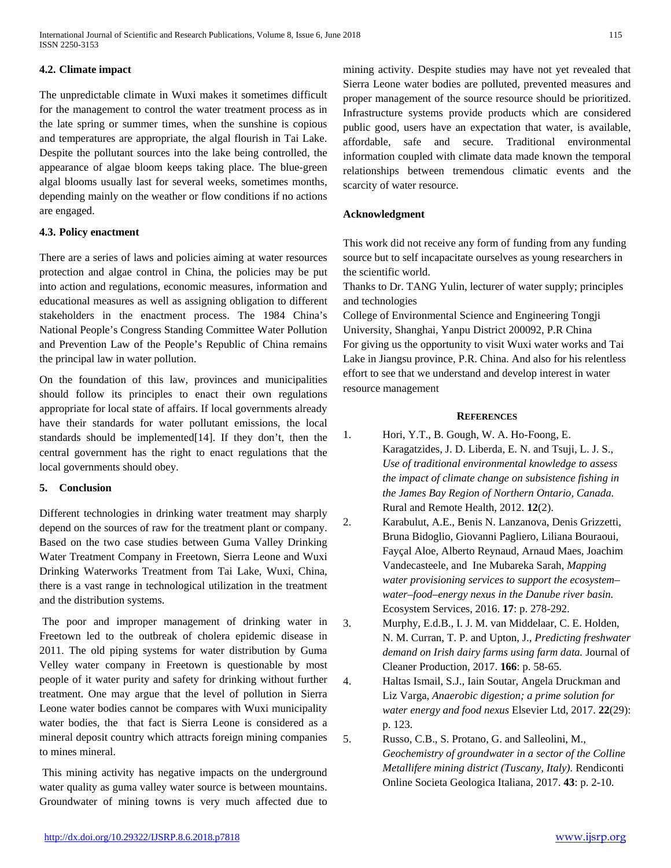International Journal of Scientific and Research Publications, Volume 8, Issue 6, June 2018 115 ISSN 2250-3153

#### **4.2. Climate impact**

The unpredictable climate in Wuxi makes it sometimes difficult for the management to control the water treatment process as in the late spring or summer times, when the sunshine is copious and temperatures are appropriate, the algal flourish in Tai Lake. Despite the pollutant sources into the lake being controlled, the appearance of algae bloom keeps taking place. The blue-green algal blooms usually last for several weeks, sometimes months, depending mainly on the weather or flow conditions if no actions are engaged.

## **4.3. Policy enactment**

There are a series of laws and policies aiming at water resources protection and algae control in China, the policies may be put into action and regulations, economic measures, information and educational measures as well as assigning obligation to different stakeholders in the enactment process. The 1984 China's National People's Congress Standing Committee Water Pollution and Prevention Law of the People's Republic of China remains the principal law in water pollution.

On the foundation of this law, provinces and municipalities should follow its principles to enact their own regulations appropriate for local state of affairs. If local governments already have their standards for water pollutant emissions, the local standards should be implemented[\[14\]](#page-7-8). If they don't, then the central government has the right to enact regulations that the local governments should obey.

## **5. Conclusion**

Different technologies in drinking water treatment may sharply depend on the sources of raw for the treatment plant or company. Based on the two case studies between Guma Valley Drinking Water Treatment Company in Freetown, Sierra Leone and Wuxi Drinking Waterworks Treatment from Tai Lake, Wuxi, China, there is a vast range in technological utilization in the treatment and the distribution systems.

The poor and improper management of drinking water in Freetown led to the outbreak of cholera epidemic disease in 2011. The old piping systems for water distribution by Guma Velley water company in Freetown is questionable by most people of it water purity and safety for drinking without further treatment. One may argue that the level of pollution in Sierra Leone water bodies cannot be compares with Wuxi municipality water bodies, the that fact is Sierra Leone is considered as a mineral deposit country which attracts foreign mining companies to mines mineral.

This mining activity has negative impacts on the underground water quality as guma valley water source is between mountains. Groundwater of mining towns is very much affected due to mining activity. Despite studies may have not yet revealed that Sierra Leone water bodies are polluted, prevented measures and proper management of the source resource should be prioritized. Infrastructure systems provide products which are considered public good, users have an expectation that water, is available, affordable, safe and secure. Traditional environmental information coupled with climate data made known the temporal relationships between tremendous climatic events and the scarcity of water resource.

## **Acknowledgment**

This work did not receive any form of funding from any funding source but to self incapacitate ourselves as young researchers in the scientific world.

Thanks to Dr. TANG Yulin, lecturer of water supply; principles and technologies

College of Environmental Science and Engineering Tongji University, Shanghai, Yanpu District 200092, P.R China For giving us the opportunity to visit Wuxi water works and Tai Lake in Jiangsu province, P.R. China. And also for his relentless effort to see that we understand and develop interest in water resource management

## **REFERENCES**

- <span id="page-6-0"></span>1. Hori, Y.T., B. Gough, W. A. Ho-Foong, E. Karagatzides, J. D. Liberda, E. N. and Tsuji, L. J. S., *Use of traditional environmental knowledge to assess the impact of climate change on subsistence fishing in the James Bay Region of Northern Ontario, Canada.* Rural and Remote Health, 2012. **12**(2).
- <span id="page-6-1"></span>2. Karabulut, A.E., Benis N. Lanzanova, Denis Grizzetti, Bruna Bidoglio, Giovanni Pagliero, Liliana Bouraoui, Fayçal Aloe, Alberto Reynaud, Arnaud Maes, Joachim Vandecasteele, and Ine Mubareka Sarah, *Mapping water provisioning services to support the ecosystem– water–food–energy nexus in the Danube river basin.* Ecosystem Services, 2016. **17**: p. 278-292.
- <span id="page-6-2"></span>3. Murphy, E.d.B., I. J. M. van Middelaar, C. E. Holden, N. M. Curran, T. P. and Upton, J., *Predicting freshwater demand on Irish dairy farms using farm data.* Journal of Cleaner Production, 2017. **166**: p. 58-65.
- <span id="page-6-3"></span>4. Haltas Ismail, S.J., Iain Soutar, Angela Druckman and Liz Varga, *Anaerobic digestion; a prime solution for water energy and food nexus* Elsevier Ltd, 2017. **22**(29): p. 123.
- <span id="page-6-4"></span>5. Russo, C.B., S. Protano, G. and Salleolini, M., *Geochemistry of groundwater in a sector of the Colline Metallifere mining district (Tuscany, Italy).* Rendiconti Online Societa Geologica Italiana, 2017. **43**: p. 2-10.